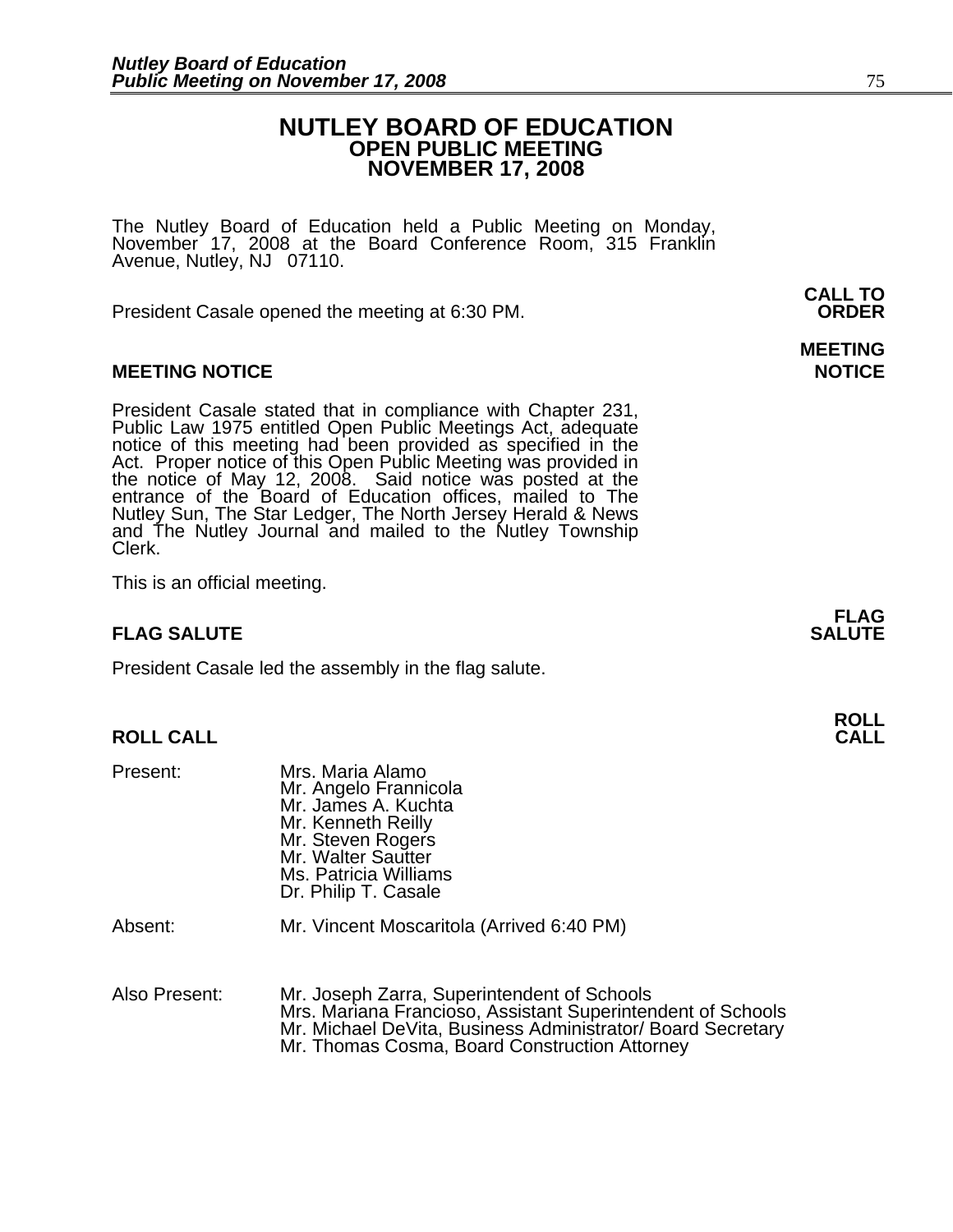# **NUTLEY BOARD OF EDUCATION OPEN PUBLIC MEETING NOVEMBER 17, 2008**

The Nutley Board of Education held a Public Meeting on Monday, November 17, 2008 at the Board Conference Room, 315 Franklin Avenue, Nutley, NJ 07110.

 **CALL TO**  President Casale opened the meeting at 6:30 PM. **ORDER**

# **MEETING NOTICE NOTICE AND RESERVE ASSESS**

President Casale stated that in compliance with Chapter 231,<br>Public Law 1975 entitled Open Public Meetings Act, adequate<br>notice of this meeting had been provided as specified in the<br>Act. Proper notice of this Open Public M the notice of May 12, 2008. Said notice was posted at the<br>entrance of the Board of Education offices, mailed to The Nutley Sun, The Star Ledger, The North Jersey Herald & News and The Nutley Journal and mailed to the Nutley Township Clerk.

This is an official meeting.

# **FLAG SALUTE** SALUTE SALUTE SALUTE SALUTE SALUTE

President Casale led the assembly in the flag salute.

# **ROLL ROLL CALL CALL**

| Present:      | Mrs. Maria Alamo<br>Mr. Angelo Frannicola<br>Mr. James A. Kuchta<br>Mr. Kenneth Reilly<br>Mr. Steven Rogers<br>Mr. Walter Sautter<br>Ms. Patricia Williams<br>Dr. Philip T. Casale |
|---------------|------------------------------------------------------------------------------------------------------------------------------------------------------------------------------------|
| Absent:       | Mr. Vincent Moscaritola (Arrived 6:40 PM)                                                                                                                                          |
| Also Present: | Mr. Joseph Zarra, Superintendent of Schools<br>Mrs. Mariana Erancioso, Assistant Superinten                                                                                        |

Mrs. Mariana Francioso, Assistant Superintendent of Schools Mr. Michael DeVita, Business Administrator/ Board Secretary Mr. Thomas Cosma, Board Construction Attorney

**MEETING** 

**FLAG**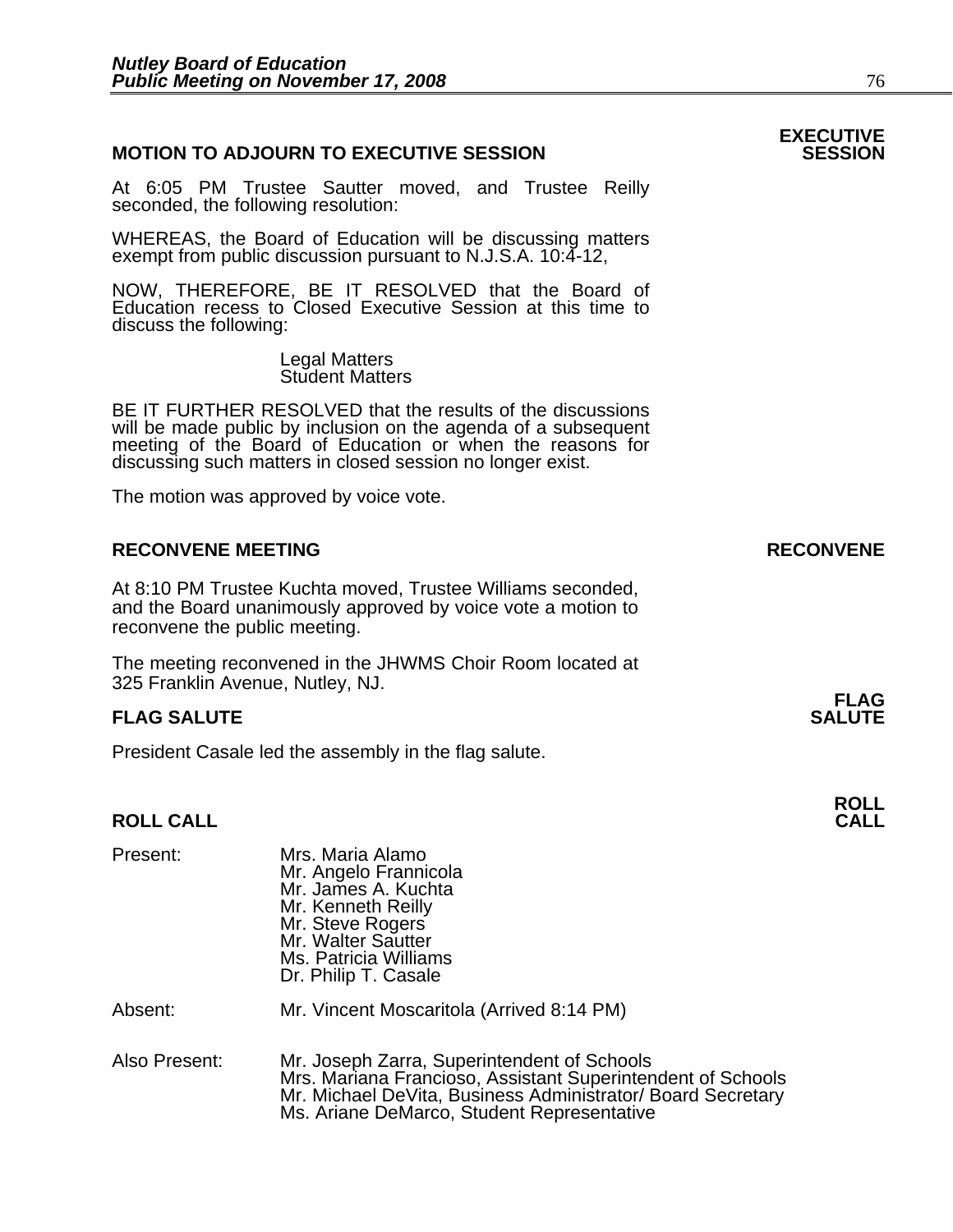# **MOTION TO ADJOURN TO EXECUTIVE SESSION**

At 6:05 PM Trustee Sautter moved, and Trustee Reilly seconded, the following resolution:

WHEREAS, the Board of Education will be discussing matters exempt from public discussion pursuant to N.J.S.A. 10:4-12,

NOW, THEREFORE, BE IT RESOLVED that the Board of Education recess to Closed Executive Session at this time to discuss the following:

> Legal Matters Student Matters

BE IT FURTHER RESOLVED that the results of the discussions will be made public by inclusion on the agenda of a subsequent meeting of the Board of Education or when the reasons for discussing such matters in closed session no longer exist.

The motion was approved by voice vote.

# **RECONVENE MEETING RECONVENE**

At 8:10 PM Trustee Kuchta moved, Trustee Williams seconded, and the Board unanimously approved by voice vote a motion to reconvene the public meeting.

The meeting reconvened in the JHWMS Choir Room located at 325 Franklin Avenue, Nutley, NJ.

# **FLAG SALUTE** SALUTE SALUTE SALUTE SALUTE SALUTE

President Casale led the assembly in the flag salute.

# **ROLL ROLL CALL CALL**

| Present:      | Mrs. Maria Alamo<br>Mr. Angelo Frannicola<br>Mr. James A. Kuchta<br>Mr. Kenneth Reilly<br>Mr. Steve Rogers<br>Mr. Walter Sautter<br>Ms. Patricia Williams<br>Dr. Philip T. Casale                                       |
|---------------|-------------------------------------------------------------------------------------------------------------------------------------------------------------------------------------------------------------------------|
| Absent:       | Mr. Vincent Moscaritola (Arrived 8:14 PM)                                                                                                                                                                               |
| Also Present: | Mr. Joseph Zarra, Superintendent of Schools<br>Mrs. Mariana Francioso, Assistant Superintendent of Schools<br>Mr. Michael DeVita, Business Administrator/ Board Secretary<br>Ms. Ariane DeMarco, Student Representative |

# **EXECUTIVE**

**FLAG**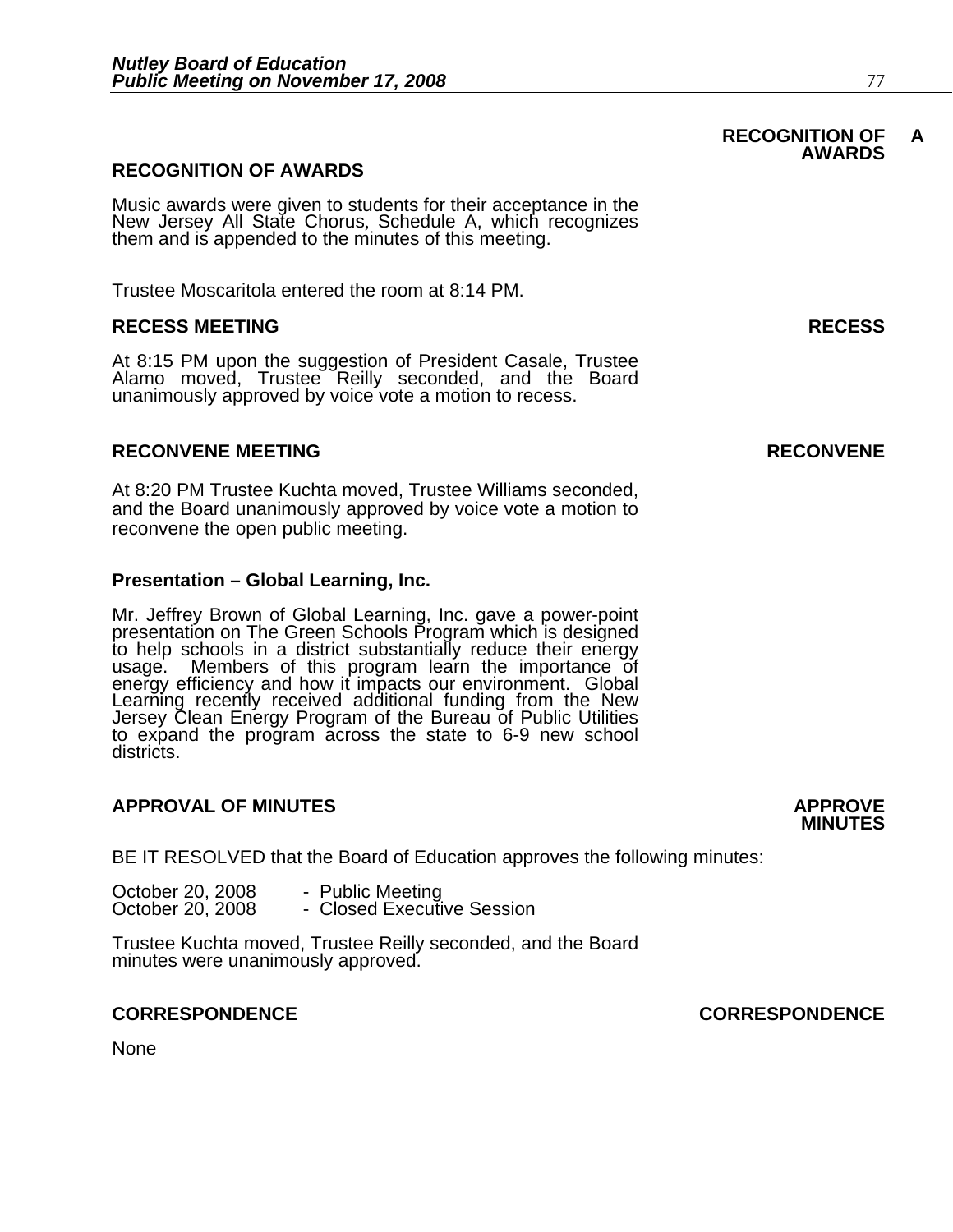# **RECOGNITION OF AWARDS**

Music awards were given to students for their acceptance in the New Jersey All State Chorus, Schedule A, which recognizes them and is appended to the minutes of this meeting.

Trustee Moscaritola entered the room at 8:14 PM.

### **RECESS MEETING RECESS**

At 8:15 PM upon the suggestion of President Casale, Trustee Alamo moved, Trustee Reilly seconded, and the Board unanimously approved by voice vote a motion to recess.

### **RECONVENE MEETING RECONVENE**

At 8:20 PM Trustee Kuchta moved, Trustee Williams seconded, and the Board unanimously approved by voice vote a motion to reconvene the open public meeting.

#### **Presentation – Global Learning, Inc.**

Mr. Jeffrey Brown of Global Learning, Inc. gave a power-point<br>presentation on The Green Schools Program which is designed<br>to help schools in a district substantially reduce their energy<br>usage. Members of this program learn to expand the program across the state to 6-9 new school districts.

#### **APPROVAL OF MINUTES APPROVE**

BE IT RESOLVED that the Board of Education approves the following minutes:

October 20, 2008 - Public Meeting<br>
October 20, 2008 - Closed Executive Session<br>
Trustee Kuchta moved, Trustee Reilly seconded, and the Board<br>
minutes were unanimously approved.

#### **CORRESPONDENCE CORRESPONDENCE**

None

# **MINUTES**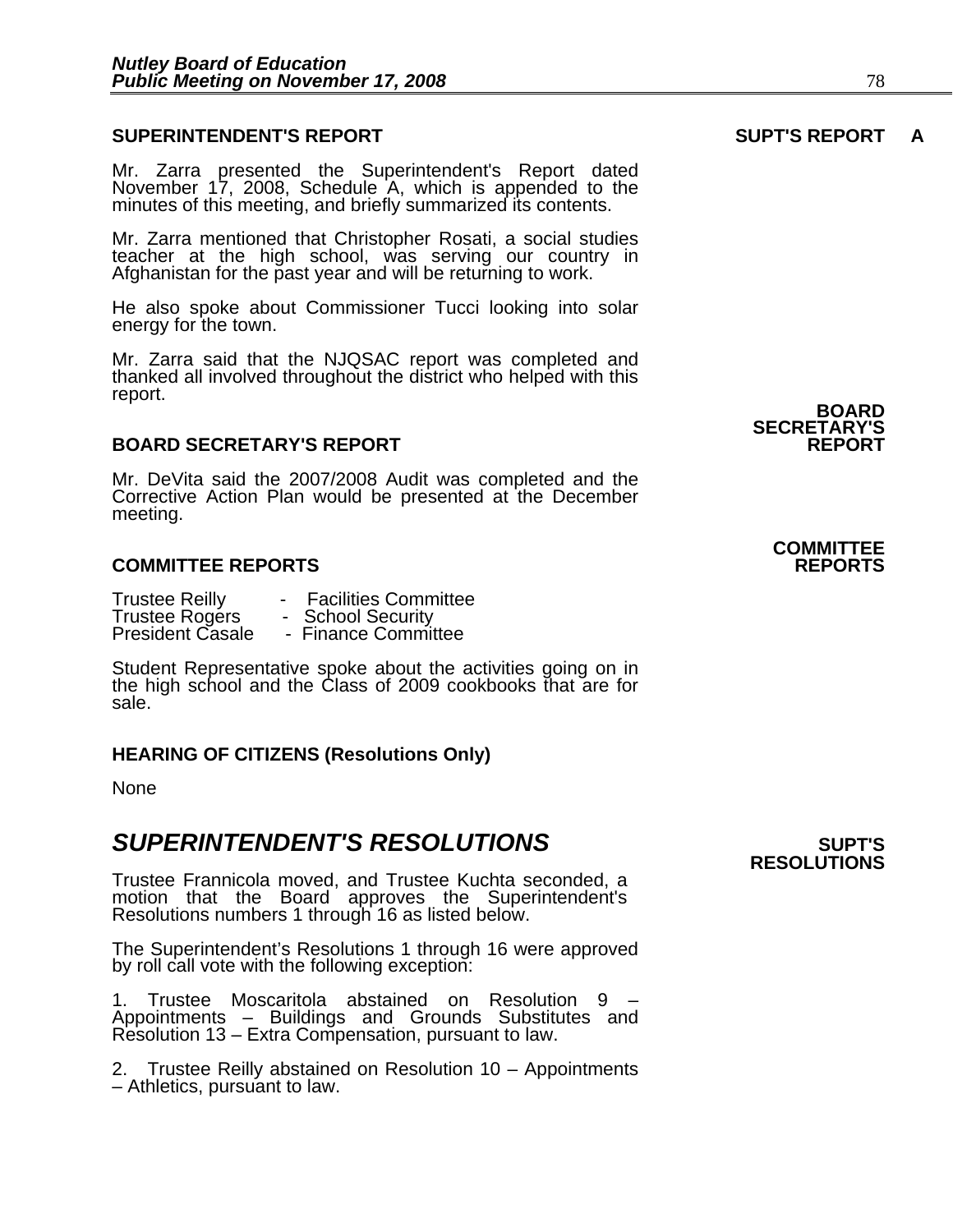## **SUPERINTENDENT'S REPORT SUPT'S REPORT A**

Mr. Zarra presented the Superintendent's Report dated November 17, 2008, Schedule A, which is appended to the minutes of this meeting, and briefly summarized its contents.

Mr. Zarra mentioned that Christopher Rosati, a social studies teacher at the high school, was serving our country in Afghanistan for the past year and will be returning to work.

He also spoke about Commissioner Tucci looking into solar energy for the town.

Mr. Zarra said that the NJQSAC report was completed and thanked all involved throughout the district who helped with this report.

#### **BOARD SECRETARY'S REPORT**

Mr. DeVita said the 2007/2008 Audit was completed and the Corrective Action Plan would be presented at the December meeting.

# **COMMITTEE REPORTS REPORTS**

| <b>Trustee Reilly</b>   | <b>Facilities Committee</b> |
|-------------------------|-----------------------------|
| <b>Trustee Rogers</b>   | - School Security           |
| <b>President Casale</b> | - Finance Committee         |

Student Representative spoke about the activities going on in the high school and the Class of 2009 cookbooks that are for sale.

#### **HEARING OF CITIZENS (Resolutions Only)**

None

# **SUPERINTENDENT'S RESOLUTIONS EXAMPLE ASSESSED ASSESSED ASSESSED ASSESSED ASSESSED ASSESSED ASSESSED ASSESSED ASSESSED ASSESSED ASSESSED ASSESSED ASSESSED ASSESSED ASSESSED ASSESSED ASSESSED ASSESSED ASSESSED ASSESSED AS**

Trustee Frannicola moved, and Trustee Kuchta seconded, a motion that the Board approves the Superintendent's Resolutions numbers 1 through 16 as listed below.

The Superintendent's Resolutions 1 through 16 were approved by roll call vote with the following exception:

1. Trustee Moscaritola abstained on Resolution 9 – Appointments – Buildings and Grounds Substitutes and Resolution 13 – Extra Compensation, pursuant to law.

2. Trustee Reilly abstained on Resolution 10 – Appointments – Athletics, pursuant to law.

**BOARD SECRETARY'S** 

# **COMMITTEE**

**RESOLUTIONS**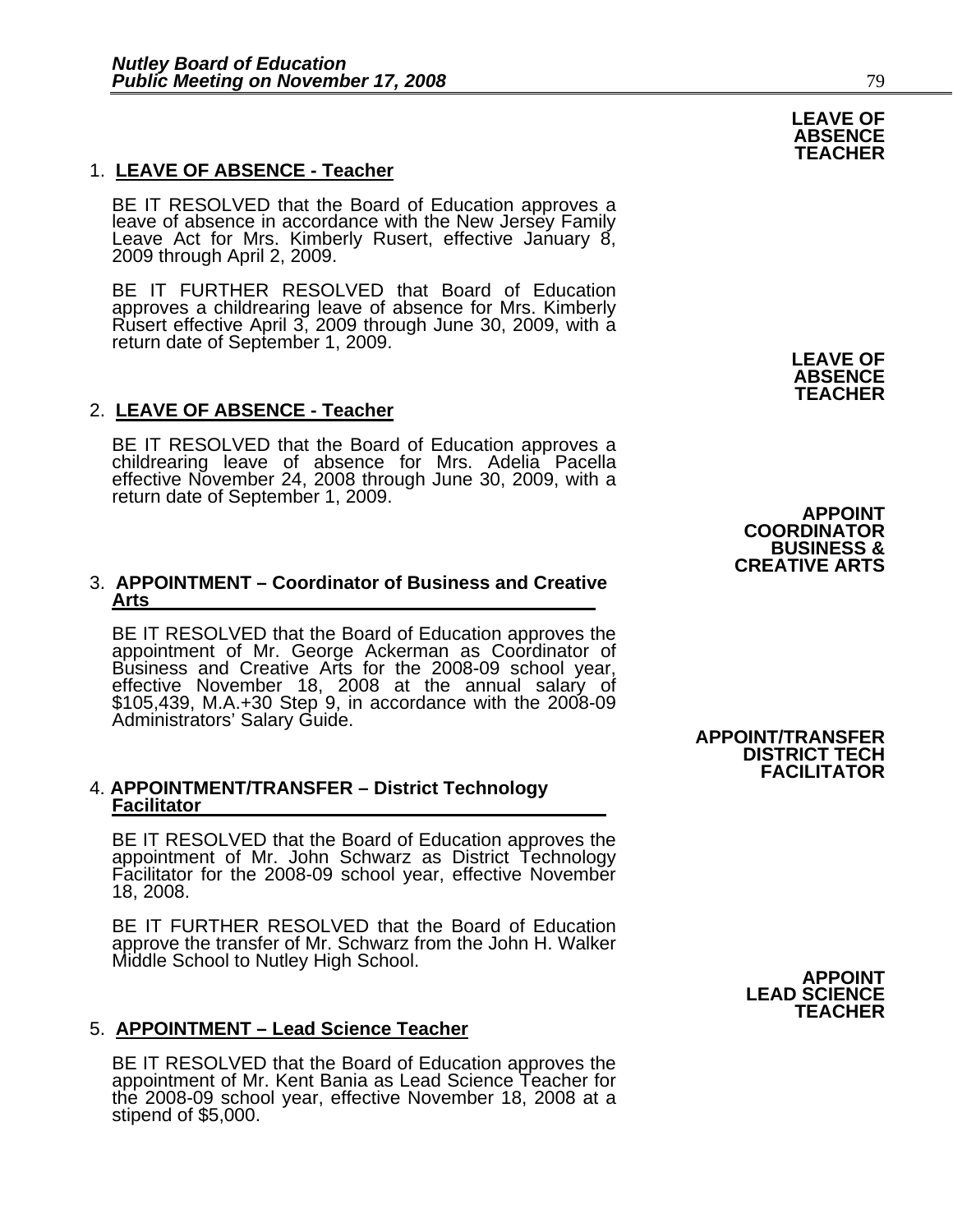# 1. **LEAVE OF ABSENCE - Teacher**

BE IT RESOLVED that the Board of Education approves a leave of absence in accordance with the New Jersey Family Leave Act for Mrs. Kimberly Rusert, effective January 8, 2009 through April 2, 2009.

BE IT FURTHER RESOLVED that Board of Education approves a childrearing leave of absence for Mrs. Kimberly Rusert effective April 3, 2009 through June 30, 2009, with a return date of September 1, 2009.

### 2. **LEAVE OF ABSENCE - Teacher**

BE IT RESOLVED that the Board of Education approves a childrearing leave of absence for Mrs. Adelia Pacella effective November 24, 2008 through June 30, 2009, with a<br>return date of September 1, 2009.

#### 3. **APPOINTMENT – Coordinator of Business and Creative Arts**

BE IT RESOLVED that the Board of Education approves the appointment of Mr. George Ackerman as Coordinator of Business and Creative Arts for the 2008-09 school year. effective November 18, 2008 at the annual salary of \$105,439, M.A.+30 Step 9, in accordance with the 2008-09 Administrators' Salary Guide.

# 4. **APPOINTMENT/TRANSFER – District Technology Facilitator**

BE IT RESOLVED that the Board of Education approves the appointment of Mr. John Schwarz as District Technology Facilitator for the 2008-09 school year, effective November 18, 2008.

BE IT FURTHER RESOLVED that the Board of Education approve the transfer of Mr. Schwarz from the John H. Walker Middle School to Nutley High School. **APPOINT** 

# 5. **APPOINTMENT – Lead Science Teacher**

BE IT RESOLVED that the Board of Education approves the appointment of Mr. Kent Bania as Lead Science Teacher for the 2008-09 school year, effective November 18, 2008 at a stipend of \$5,000.



**APPOINT COORDINATOR BUSINESS & CREATIVE ARTS**

#### **APPOINT/TRANSFER DISTRICT TECH FACILITATOR**

**LEAD SCIENCE TEACHER**

**LEAVE OF ABSENCE TEACHER**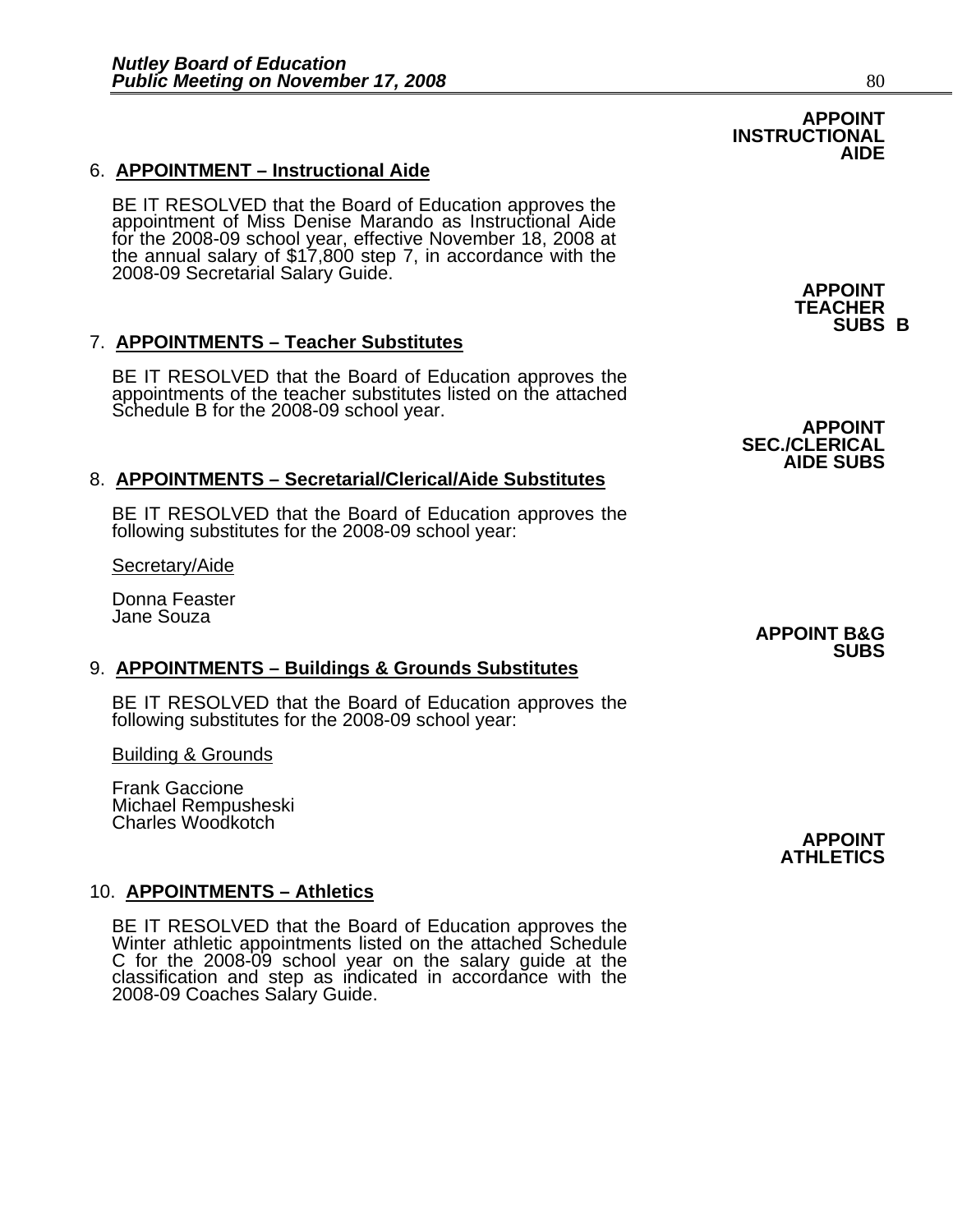# 6. **APPOINTMENT – Instructional Aide**

BE IT RESOLVED that the Board of Education approves the appointment of Miss Denise Marando as Instructional Aide for the 2008-09 school year, effective November 18, 2008 at the annual salary of \$17,800 step 7, in accordance with the 2008-09 Secretarial Salary Guide. **APPOINT APPOINT** 

# 7. **APPOINTMENTS – Teacher Substitutes**

BE IT RESOLVED that the Board of Education approves the appointments of the teacher substitutes listed on the attached Schedule B for the 2008-09 school year.<br>**APPOINT** 

# 8. **APPOINTMENTS – Secretarial/Clerical/Aide Substitutes**

BE IT RESOLVED that the Board of Education approves the following substitutes for the 2008-09 school year:

Secretary/Aide

Donna Feaster Jane Souza

# 9. **APPOINTMENTS – Buildings & Grounds Substitutes**

BE IT RESOLVED that the Board of Education approves the following substitutes for the 2008-09 school year:

Building & Grounds

Frank Gaccione Michael Rempusheski Charles Woodkotch

# 10. **APPOINTMENTS – Athletics**

BE IT RESOLVED that the Board of Education approves the Winter athletic appointments listed on the attached Schedule C for the 2008-09 school year on the salary guide at the classification and step as indicated in accordance with the 2008-09 Coaches Salary Guide.

**SEC./CLERICAL AIDE SUBS**

**APPOINT B&G SUBS** 

> **APPOINT ATHLETICS**

**TEACHER** 

**SUBS B**

**APPOINT** 

**INSTRUCTIONAL** 

**AIDE**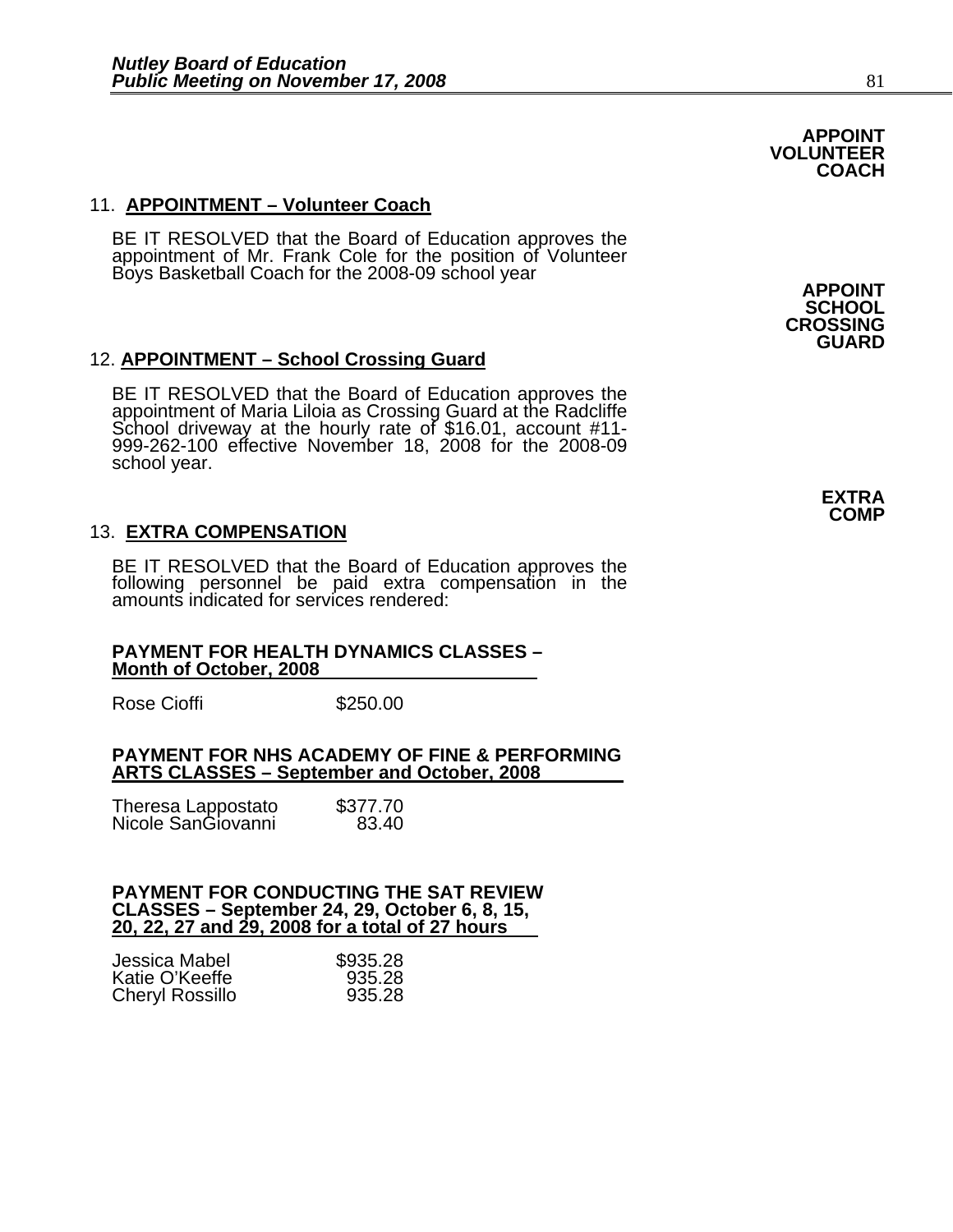# 11. **APPOINTMENT – Volunteer Coach**

BE IT RESOLVED that the Board of Education approves the<br>appointment of Mr. Frank Cole for the position of Volunteer<br>Boys Basketball Coach for the 2008-09 school year **APPOINT** 

# 12. **APPOINTMENT – School Crossing Guard**

BE IT RESOLVED that the Board of Education approves the<br>appointment of Maria Liloia as Crossing Guard at the Radcliffe School driveway at the hourly rate of \$16.01, account #11- 999-262-100 effective November 18, 2008 for the 2008-09 school year.

# 13. **EXTRA COMPENSATION**

BE IT RESOLVED that the Board of Education approves the<br>following personnel be paid extra compensation in the amounts indicated for services rendered:

#### **PAYMENT FOR HEALTH DYNAMICS CLASSES – Month of October, 2008**

Rose Cioffi 5250.00

#### **PAYMENT FOR NHS ACADEMY OF FINE & PERFORMING ARTS CLASSES – September and October, 2008**

| Theresa Lappostato<br>Nicole SanGiovanni | \$377.70<br>83.40 |
|------------------------------------------|-------------------|
|                                          |                   |

#### **PAYMENT FOR CONDUCTING THE SAT REVIEW CLASSES – September 24, 29, October 6, 8, 15, 20, 22, 27 and 29, 2008 for a total of 27 hours**

| Jessica Mabel          | \$935.28 |
|------------------------|----------|
| Katie O'Keeffe         | 935.28   |
| <b>Cheryl Rossillo</b> | 935.28   |

**SCHOOL CROSSING GUARD** 

**APPOINT VOLUNTEER COACH**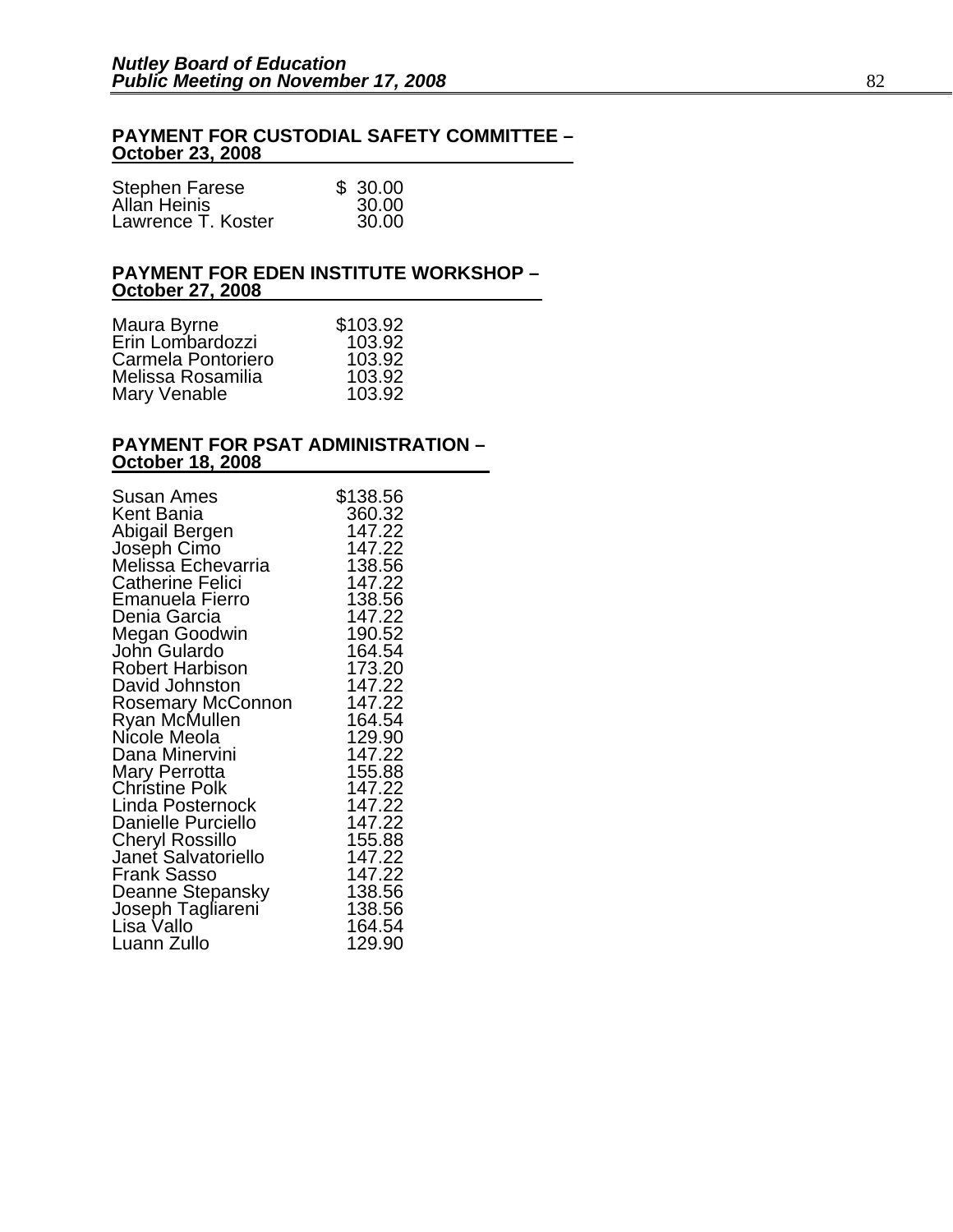# **PAYMENT FOR CUSTODIAL SAFETY COMMITTEE – October 23, 2008**

| <b>Stephen Farese</b> | \$30.00 |
|-----------------------|---------|
| Allan Heinis          | 30.00   |
| Lawrence T. Koster    | 30.00   |

### **PAYMENT FOR EDEN INSTITUTE WORKSHOP – October 27, 2008**

| Maura Byrne        | \$103.92 |
|--------------------|----------|
| Erin Lombardozzi   | 103.92   |
| Carmela Pontoriero | 103.92   |
| Melissa Rosamilia  | 103.92   |
| Mary Venable       | 103.92   |

#### **PAYMENT FOR PSAT ADMINISTRATION – October 18, 2008**

| Susan Ames                             | \$138.56         |
|----------------------------------------|------------------|
| Kent Bania                             | 360.32           |
| Abigail Bergen                         | 147.22           |
|                                        | 147.22           |
| Joseph Cimo<br>Melissa Echevarria      | 138.56           |
| Catherine Felici                       | 147.22           |
| Emanuela Fierro                        | 138.56           |
| Denia Garcia                           | 147.22           |
| Megan Goodwin                          | 190.52           |
| John Gulardo                           | 164.54           |
| Robert Harbison                        | 173.20           |
| David Johnston                         | 147.22           |
| Rosemary McConnon                      | 147.22           |
|                                        | 164.54           |
| Ryan McMullen<br>Nicole Meola          | 129.90           |
| Dana Minervini                         | 147.22           |
|                                        | 155.88           |
| Mary Perrotta<br><b>Christine Polk</b> | 147.22           |
| Linda Posternock                       | 147.22           |
| Danielle Purciello                     | 147.22           |
|                                        | 155.88           |
| Cheryl Rossillo<br>Janet Salvatoriello |                  |
| Frank Sasso                            | 147.22<br>147.22 |
|                                        |                  |
| Deanne Stepansky                       | 138.56           |
| Joseph Tagliareni<br>Lisa Vallo        | 138.56           |
|                                        | 164.54           |
| Luann Zullo                            | 129.90           |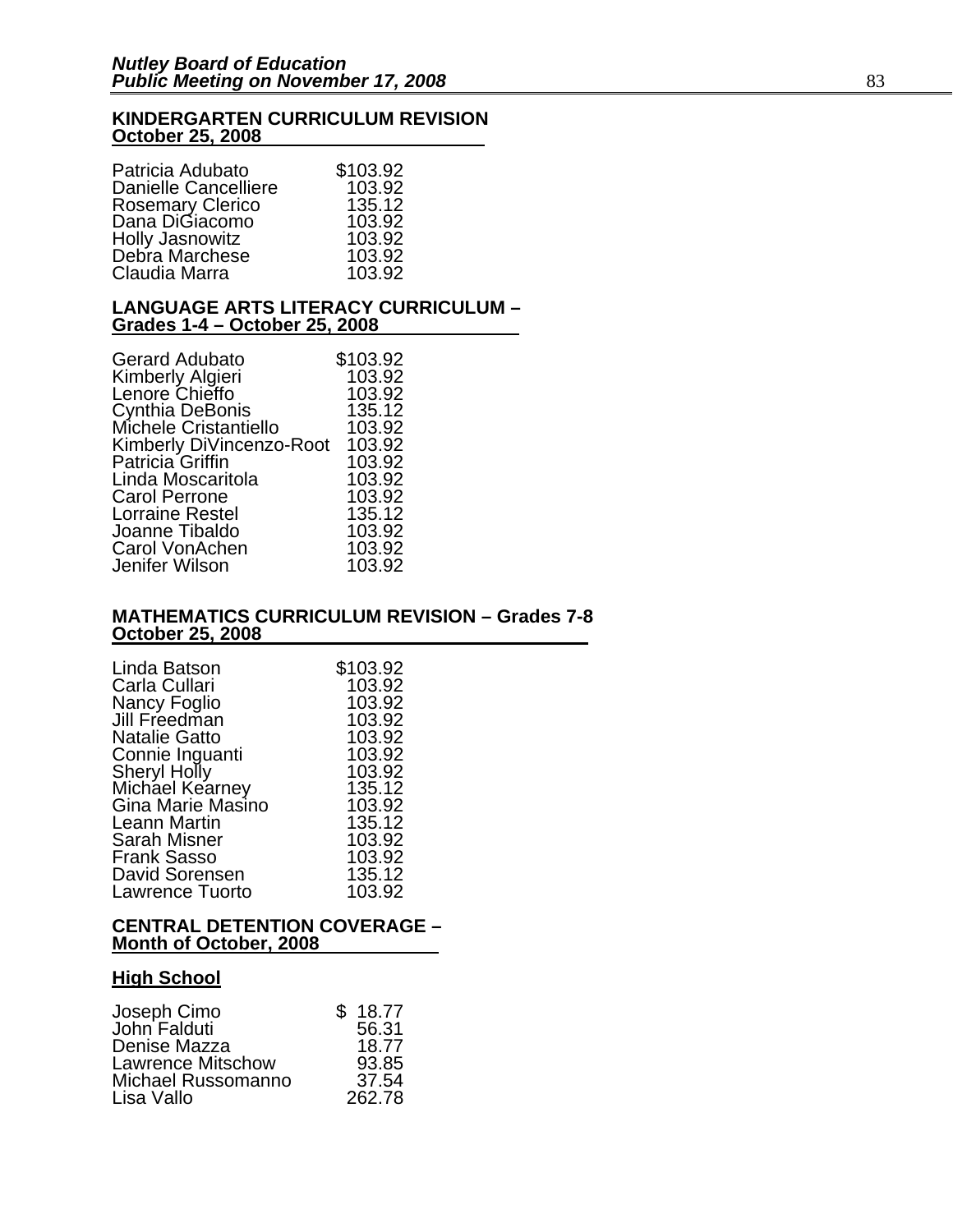### **KINDERGARTEN CURRICULUM REVISION October 25, 2008**

| Patricia Adubato            | \$103.92 |
|-----------------------------|----------|
| <b>Danielle Cancelliere</b> | 103.92   |
| <b>Rosemary Clerico</b>     | 135.12   |
| Dana DiGiacomo              | 103.92   |
| <b>Holly Jasnowitz</b>      | 103.92   |
| Debra Marchese              | 103.92   |
| Claudia Marra               | 103.92   |

#### **LANGUAGE ARTS LITERACY CURRICULUM – Grades 1-4 – October 25, 2008**

| <b>Gerard Adubato</b>    | \$103.92 |
|--------------------------|----------|
| Kimberly Algieri         | 103.92   |
| Lenore Chieffo           | 103.92   |
| Cynthia DeBonis          | 135.12   |
| Michele Cristantiello    | 103.92   |
| Kimberly DiVincenzo-Root | 103.92   |
| Patricia Griffin         | 103.92   |
| Linda Moscaritola        | 103.92   |
| <b>Carol Perrone</b>     | 103.92   |
| <b>Lorraine Restel</b>   | 135.12   |
| Joanne Tibaldo           | 103.92   |
| Carol VonAchen           | 103.92   |
| Jenifer Wilson           | 103.92   |

### **MATHEMATICS CURRICULUM REVISION – Grades 7-8 October 25, 2008**

| Linda Batson           | \$103.92 |
|------------------------|----------|
| Carla Cullari          | 103.92   |
| Nancy Foglio           | 103.92   |
| Jill Freedman          | 103.92   |
| <b>Natalie Gatto</b>   | 103.92   |
| Connie Inguanti        | 103.92   |
| Sheryl Holly           | 103.92   |
| Michael Kearney        | 135.12   |
| Gina Marie Masino      | 103.92   |
| Leann Martin           | 135.12   |
| Sarah Misner           | 103.92   |
| <b>Frank Sasso</b>     | 103.92   |
| David Sorensen         | 135.12   |
| <b>Lawrence Tuorto</b> | 103.92   |

#### **CENTRAL DETENTION COVERAGE – Month of October, 2008**

# **High School**

| \$18.77 |
|---------|
| 56.31   |
| 18.77   |
| 93.85   |
| 37.54   |
| 262.78  |
|         |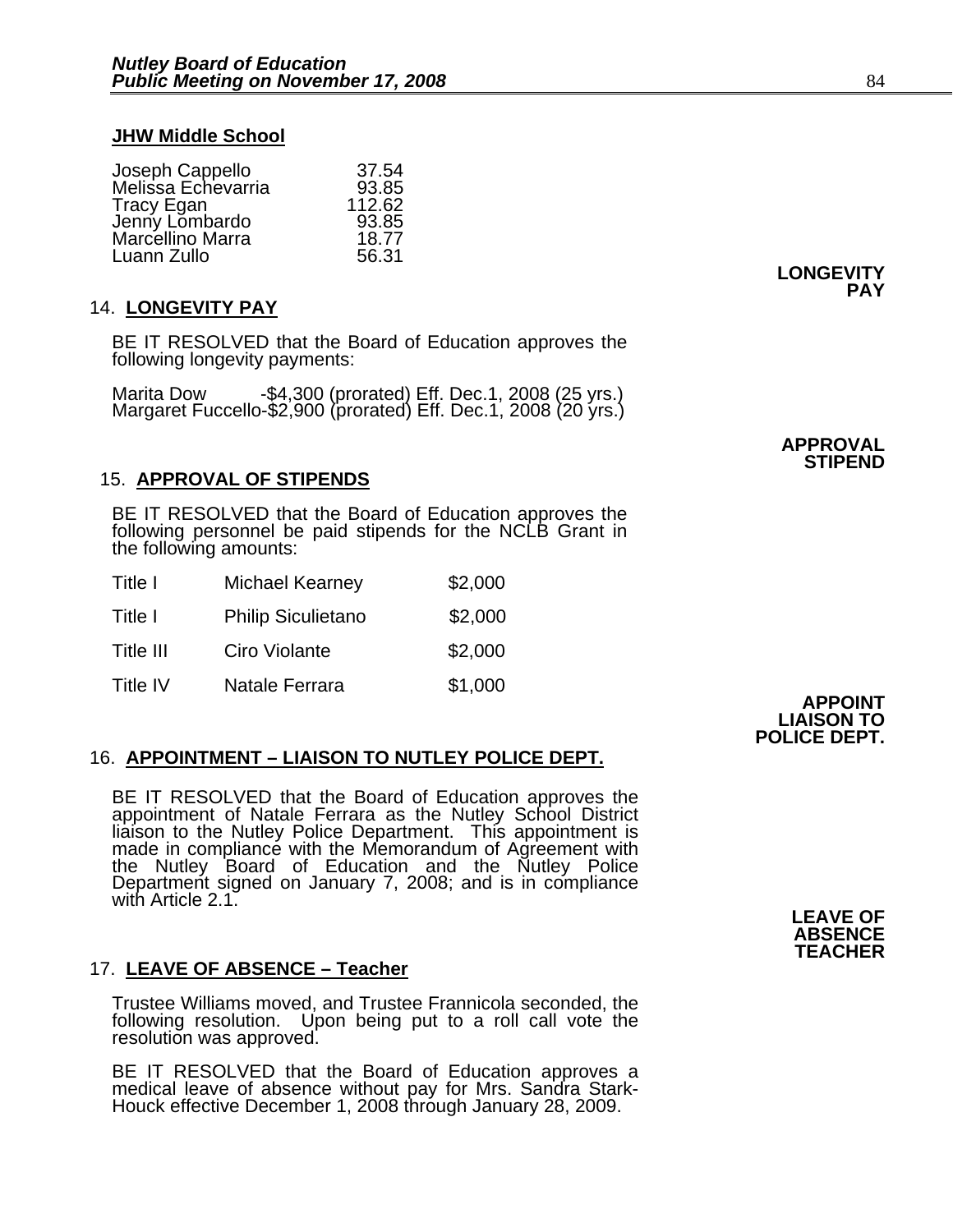### **JHW Middle School**

| Joseph Cappello<br>Melissa Echevarria | 37.54  |
|---------------------------------------|--------|
|                                       | 93.85  |
| <b>Tracy Egan</b>                     | 112.62 |
| Jenny Lombardo                        | 93.85  |
| Marcellino Marra                      | 18.77  |
| Luann Zullo                           | 56.31  |

# 14. **LONGEVITY PAY**

BE IT RESOLVED that the Board of Education approves the following longevity payments:

Marita Dow -\$4,300 (prorated) Eff. Dec.1, 2008 (25 yrs.) Margaret Fuccello-\$2,900 (prorated) Eff. Dec.1, 2008 (20 yrs.)

# 15. **APPROVAL OF STIPENDS**

BE IT RESOLVED that the Board of Education approves the following personnel be paid stipends for the NCLB Grant in the following amounts:

| Title I   | <b>Michael Kearney</b>    | \$2,000 |
|-----------|---------------------------|---------|
| Title I   | <b>Philip Siculietano</b> | \$2,000 |
| Title III | Ciro Violante             | \$2,000 |
| Title IV  | Natale Ferrara            | \$1,000 |

# 16. **APPOINTMENT – LIAISON TO NUTLEY POLICE DEPT.**

BE IT RESOLVED that the Board of Education approves the appointment of Natale Ferrara as the Nutley School District liaison to the Nutley Police Department. This appointment is made in compliance with the Memorandum of Agr

**APPOINT** 

# 17. **LEAVE OF ABSENCE – Teacher**

Trustee Williams moved, and Trustee Frannicola seconded, the following resolution. Upon being put to a roll call vote the resolution was approved.

BE IT RESOLVED that the Board of Education approves a medical leave of absence without pay for Mrs. Sandra Stark-Houck effective December 1, 2008 through January 28, 2009.

**LIAISON TO POLICE DEPT.** 

# **LONGEVITY PAY**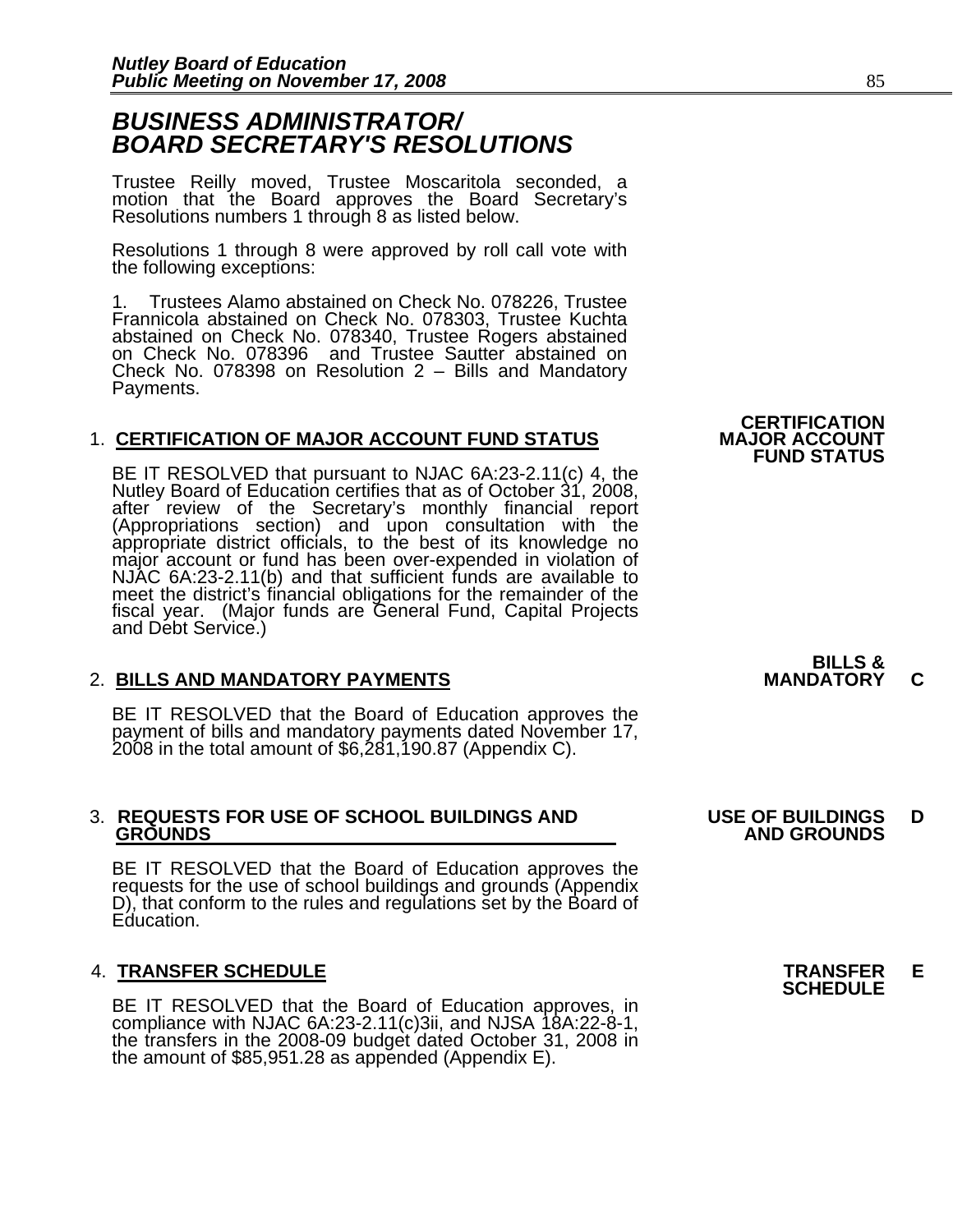# *BUSINESS ADMINISTRATOR/ BOARD SECRETARY'S RESOLUTIONS*

Trustee Reilly moved, Trustee Moscaritola seconded, a motion that the Board approves the Board Secretary's Resolutions numbers 1 through 8 as listed below.

Resolutions 1 through 8 were approved by roll call vote with the following exceptions:

1. Trustees Alamo abstained on Check No. 078226, Trustee Frannicola abstained on Check No. 078303, Trustee Kuchta abstained on Check No. 078340, Trustee Rogers abstained on Check No. 078396 and Trustee Sautter abstained on on Check No. 078396 and Trustee Sautter abstained on Check No. 078398 on Resolution 2 – Bills and Mandatory Payments.

# 1. **CERTIFICATION OF MAJOR ACCOUNT FUND STATUS**

BE IT RESOLVED that pursuant to NJAC 6A:23-2.11(c) 4, the Nutley Board of Education certifies that as of October 31, 2008, after review of the Secretary's monthly financial report<br>(Appropriations section) and upon consultation with the<br>appropriate district officials, to the best of its knowledge no<br>major account or fund has been over-expended meet the district's financial obligations for the remainder of the fiscal year. (Major funds are General Fund, Capital Projects and Debt Service.)

# **2. BILLS AND MANDATORY PAYMENTS**

BE IT RESOLVED that the Board of Education approves the payment of bills and mandatory payments dated November 17, 2008 in the total amount of \$6,281,190.87 (Appendix C).

# 3. **REQUESTS FOR USE OF SCHOOL BUILDINGS AND USE OF BUILDINGS D**

BE IT RESOLVED that the Board of Education approves the requests for the use of school buildings and grounds (Appendix D), that conform to the rules and regulations set by the Board of Education.

4. **TRANSFER SCHEDULE**<br>BE IT RESOLVED that the Board of Education approves, in **SCHEDULE** compliance with NJAC 6A:23-2.11(c)3ii, and NJSA 18A:22-8-1,<br>the transfers in the 2008-09 budget dated October 31, 2008 in<br>the amount of \$85,951.28 as appended (Appendix E).

**CERTIFICATION<br>MAJOR ACCOUNT FUND STATUS**

**BILLS &** 

 **GROUNDS AND GROUNDS**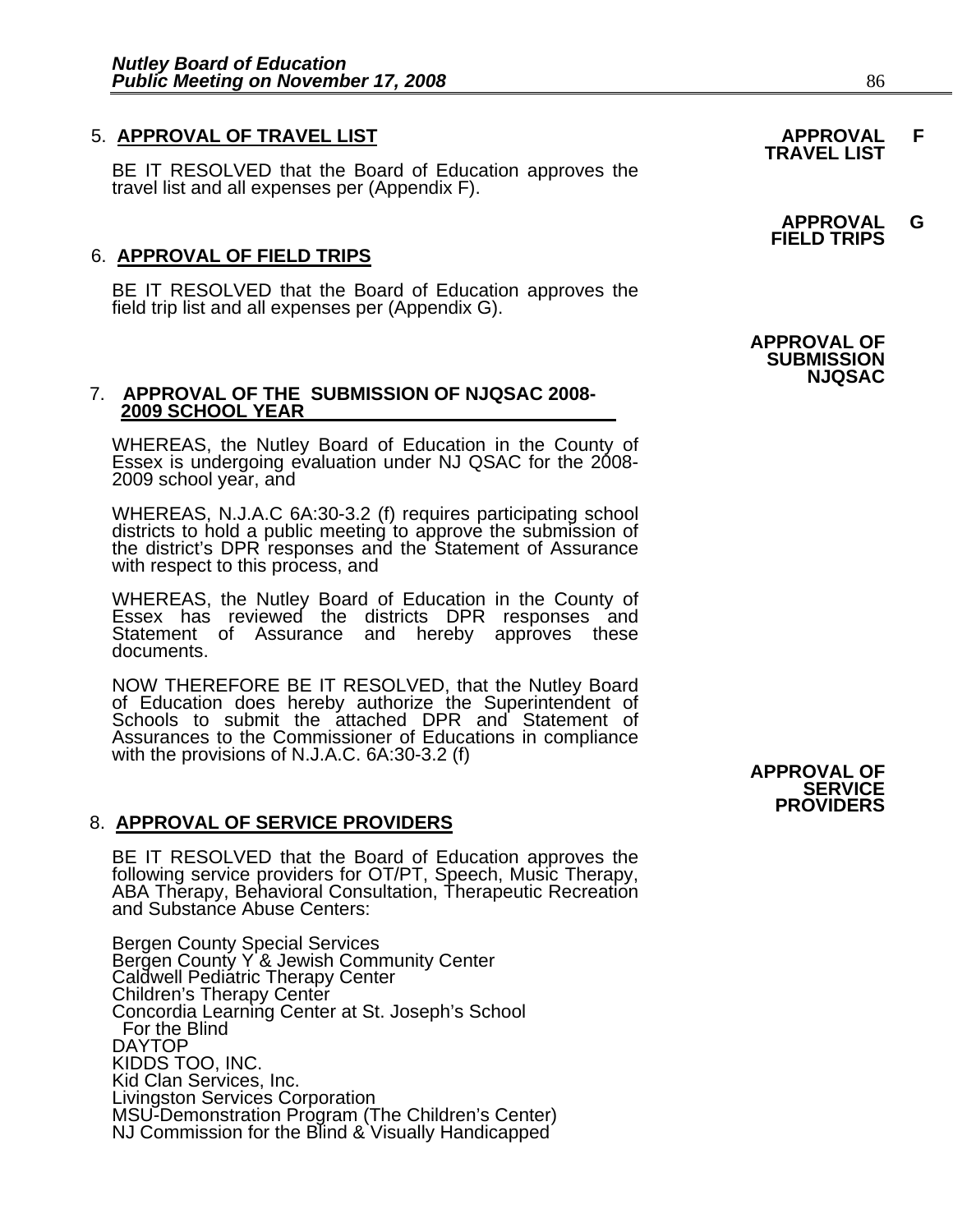# 5. **APPROVAL OF TRAVEL LIST APPROVAL F TRAVEL LIST**

BE IT RESOLVED that the Board of Education approves the travel list and all expenses per (Appendix F).

# 6. **APPROVAL OF FIELD TRIPS**

BE IT RESOLVED that the Board of Education approves the field trip list and all expenses per (Appendix G).

#### 7. **APPROVAL OF THE SUBMISSION OF NJQSAC 2008- 2009 SCHOOL YEAR**

WHEREAS, the Nutley Board of Education in the County of Essex is undergoing evaluation under NJ QSAC for the 2008-2009 school year, and

WHEREAS, N.J.A.C 6A:30-3.2 (f) requires participating school districts to hold a public meeting to approve the submission of the district's DPR responses and the Statement of Assurance with respect to this process, and

WHEREAS, the Nutley Board of Education in the County of Essex has reviewed the districts DPR responses and Statement of Assurance and hereby approves these documents.

NOW THEREFORE BE IT RESOLVED, that the Nutley Board of Education does hereby authorize the Superintendent of Schools to submit the attached DPR and Statement of Assurances to the Commissioner of Educations in compliance with the provisions of N.J.A.C. 6A:30-3.2 (f)

# 8. **APPROVAL OF SERVICE PROVIDERS**

BE IT RESOLVED that the Board of Education approves the following service providers for OT/PT, Speech, Music Therapy, ABA Therapy, Behavioral Consultation, Therapeutic Recreation and Substance Abuse Centers:

Bergen County Special Services Bergen County Y & Jewish Community Center Caldwell Pediatric Therapy Center Children's Therapy Center Concordia Learning Center at St. Joseph's School For the Blind DAYTOP KIDDS TOO, INC. Kid Clan Services, Inc. Livingston Services Corporation MSU-Demonstration Program (The Children's Center) NJ Commission for the Blind & Visually Handicapped

 **APPROVAL G FIELD TRIPS** 

 **APPROVAL OF SUBMISSION NJQSAC** 

# **APPROVAL OF SERVICE PROVIDERS**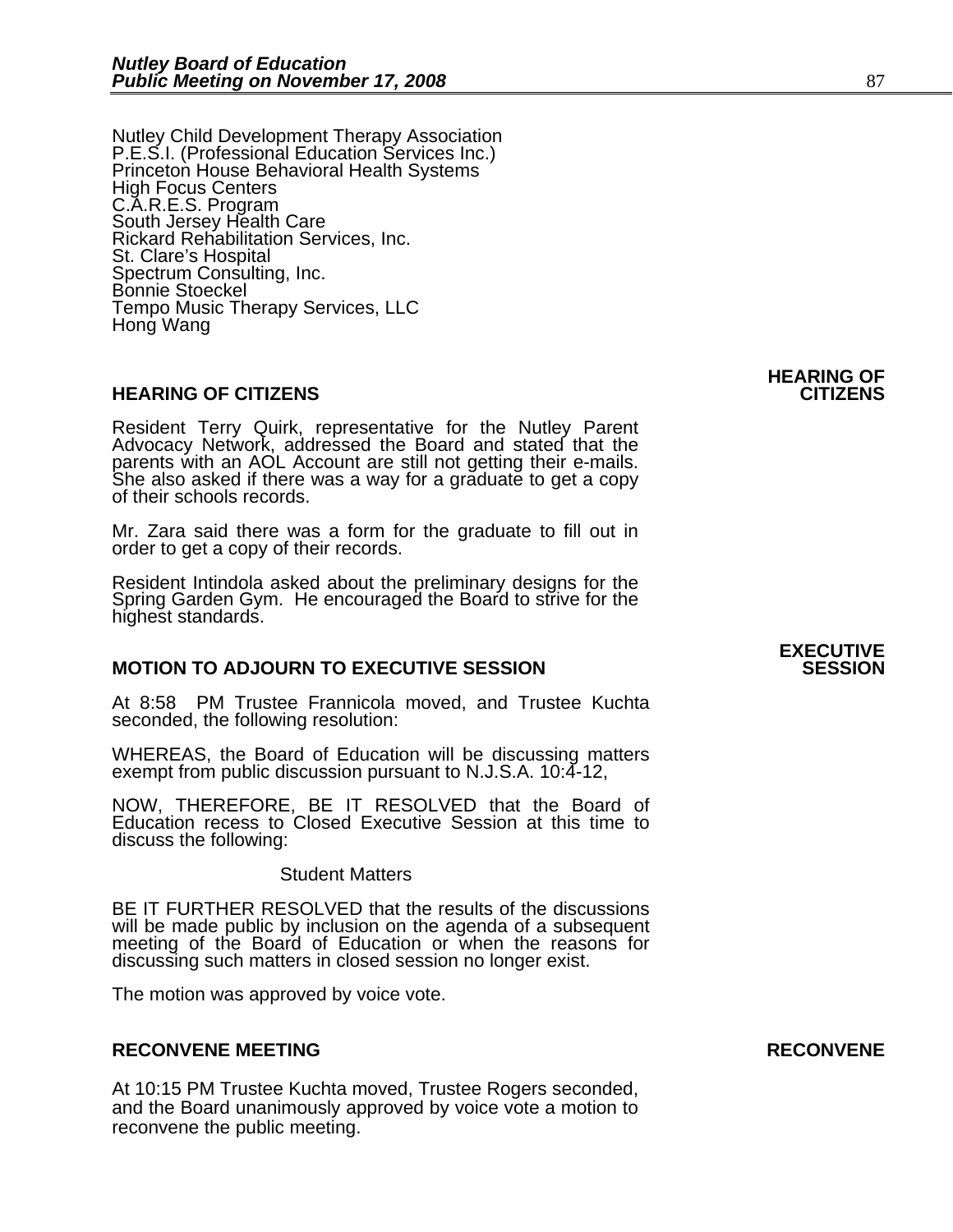Nutley Child Development Therapy Association<br>P.E.S.I. (Professional Education Services Inc.) Princeton House Behavioral Health Systems High Focus Centers C.A.R.E.S. Program South Jersey Health Care Rickard Rehabilitation Services, Inc. St. Clare's Hospital Spectrum Consulting, Inc. Bonnie Stoeckel Tempo Music Therapy Services, LLC Hong Wang

#### **HEARING OF CITIZENS CITIZENS**

Resident Terry Quirk, representative for the Nutley Parent Advocacy Network, addressed the Board and stated that the parents with an AOL Account are still not getting their e-mails. She also asked if there was a way for a graduate to get a copy of their schools records.

Mr. Zara said there was a form for the graduate to fill out in order to get a copy of their records.

Resident Intindola asked about the preliminary designs for the Spring Garden Gym. He encouraged the Board to strive for the highest standards.

### **MOTION TO ADJOURN TO EXECUTIVE SESSION**

At 8:58 PM Trustee Frannicola moved, and Trustee Kuchta seconded, the following resolution:

WHEREAS, the Board of Education will be discussing matters exempt from public discussion pursuant to N.J.S.A. 10:4-12,

NOW, THEREFORE, BE IT RESOLVED that the Board of Education recess to Closed Executive Session at this time to discuss the following:

#### Student Matters

 BE IT FURTHER RESOLVED that the results of the discussions will be made public by inclusion on the agenda of a subsequent meeting of the Board of Education or when the reasons for discussing such matters in closed session no longer exist.

The motion was approved by voice vote.

#### **RECONVENE MEETING RECONVENE**

At 10:15 PM Trustee Kuchta moved, Trustee Rogers seconded, and the Board unanimously approved by voice vote a motion to reconvene the public meeting.